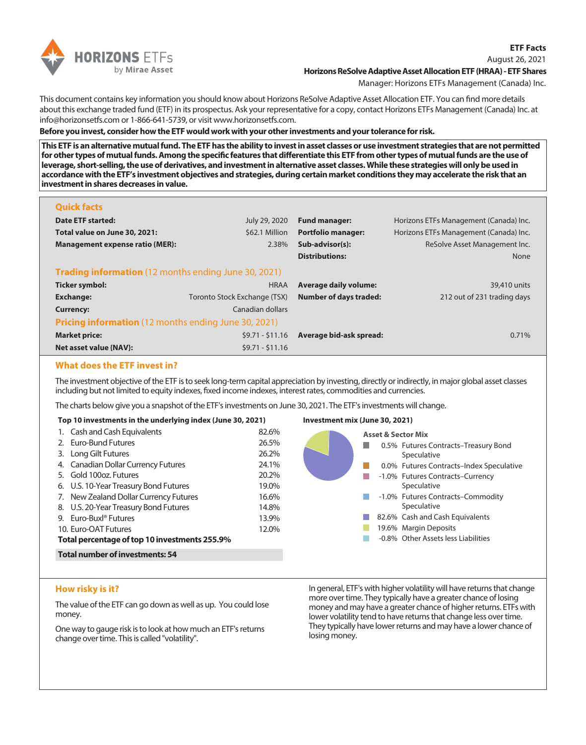

### August 26, 2021 **Horizons ReSolve Adaptive Asset Allocation ETF (HRAA) - ETF Shares**

Manager: Horizons ETFs Management (Canada) Inc.

This document contains key information you should know about Horizons ReSolve Adaptive Asset Allocation ETF. You can find more details about this exchange traded fund (ETF) in its prospectus. Ask your representative for a copy, contact Horizons ETFs Management (Canada) Inc. at info@horizonsetfs.com or 1-866-641-5739, or visit www.horizonsetfs.com.

**Before you invest, consider how the ETF would work with your other investments and your tolerance for risk.**

**This ETF is an alternative mutual fund. The ETF has the ability to invest in asset classes or use investment strategies that are not permitted for other types of mutual funds. Among the specific features that differentiate this ETF from other types of mutual funds are the use of leverage, short-selling, the use of derivatives, and investment in alternative asset classes. While these strategies will only be used in accordance with the ETF's investment objectives and strategies, during certain market conditions they may accelerate the risk that an investment in shares decreases in value.**

| <b>Quick facts</b>                                          |                              |                               |                                        |  |  |  |
|-------------------------------------------------------------|------------------------------|-------------------------------|----------------------------------------|--|--|--|
| Date ETF started:                                           | July 29, 2020                | <b>Fund manager:</b>          | Horizons ETFs Management (Canada) Inc. |  |  |  |
| Total value on June 30, 2021:                               | \$62.1 Million               | <b>Portfolio manager:</b>     | Horizons ETFs Management (Canada) Inc. |  |  |  |
| <b>Management expense ratio (MER):</b>                      | 2.38%                        | Sub-advisor(s):               | ReSolve Asset Management Inc.          |  |  |  |
|                                                             |                              | <b>Distributions:</b>         | <b>None</b>                            |  |  |  |
| <b>Trading information</b> (12 months ending June 30, 2021) |                              |                               |                                        |  |  |  |
| Ticker symbol:                                              | <b>HRAA</b>                  | <b>Average daily volume:</b>  | 39,410 units                           |  |  |  |
| <b>Exchange:</b>                                            | Toronto Stock Exchange (TSX) | <b>Number of days traded:</b> | 212 out of 231 trading days            |  |  |  |
| <b>Currency:</b>                                            | Canadian dollars             |                               |                                        |  |  |  |
| <b>Pricing information</b> (12 months ending June 30, 2021) |                              |                               |                                        |  |  |  |
| <b>Market price:</b>                                        | $$9.71 - $11.16$             | Average bid-ask spread:       | 0.71%                                  |  |  |  |
| Net asset value {NAV}:                                      | $$9.71 - $11.16$             |                               |                                        |  |  |  |

# **What does the ETF invest in?**

The investment objective of the ETF is to seek long-term capital appreciation by investing, directly or indirectly, in major global asset classes including but not limited to equity indexes, fixed income indexes, interest rates, commodities and currencies.

The charts below give you a snapshot of the ETF's investments on June 30, 2021. The ETF's investments will change.

| Top 10 investments in the underlying index (June 30, 2021) |                                                                                                                                                                                                                    |                                                    | Investment mix (June 30, 2021)                                                                                                                                                                              |  |
|------------------------------------------------------------|--------------------------------------------------------------------------------------------------------------------------------------------------------------------------------------------------------------------|----------------------------------------------------|-------------------------------------------------------------------------------------------------------------------------------------------------------------------------------------------------------------|--|
|                                                            | 1. Cash and Cash Equivalents<br>2. Euro-Bund Futures<br>3. Long Gilt Futures                                                                                                                                       | 82.6%<br>26.5%<br>26.2%                            | <b>Asset &amp; Sector Mix</b><br>0.5% Futures Contracts-Treasury Bond<br>Speculative                                                                                                                        |  |
|                                                            | 4. Canadian Dollar Currency Futures<br>5. Gold 100oz. Futures<br>6. U.S. 10-Year Treasury Bond Futures<br>7. New Zealand Dollar Currency Futures<br>8. U.S. 20-Year Treasury Bond Futures<br>9. Euro-Buxl® Futures | 24.1%<br>20.2%<br>19.0%<br>16.6%<br>14.8%<br>13.9% | 0.0% Futures Contracts-Index Speculative<br>-1.0% Futures Contracts-Currency<br>Speculative<br>-1.0% Futures Contracts-Commodity<br>Speculative<br>82.6% Cash and Cash Equivalents<br>19.6% Margin Deposits |  |
|                                                            | 10. Euro-OAT Futures<br>Total percentage of top 10 investments 255.9%<br><b>Total number of investments: 54</b>                                                                                                    | 12.0%                                              | -0.8% Other Assets less Liabilities                                                                                                                                                                         |  |

## **How risky is it?**

The value of the ETF can go down as well as up. You could lose money.

One way to gauge risk is to look at how much an ETF's returns change over time. This is called "volatility".

In general, ETF's with higher volatility will have returns that change more over time. They typically have a greater chance of losing money and may have a greater chance of higher returns. ETFs with lower volatility tend to have returns that change less over time. They typically have lower returns and may have a lower chance of losing money.

**ETF Facts**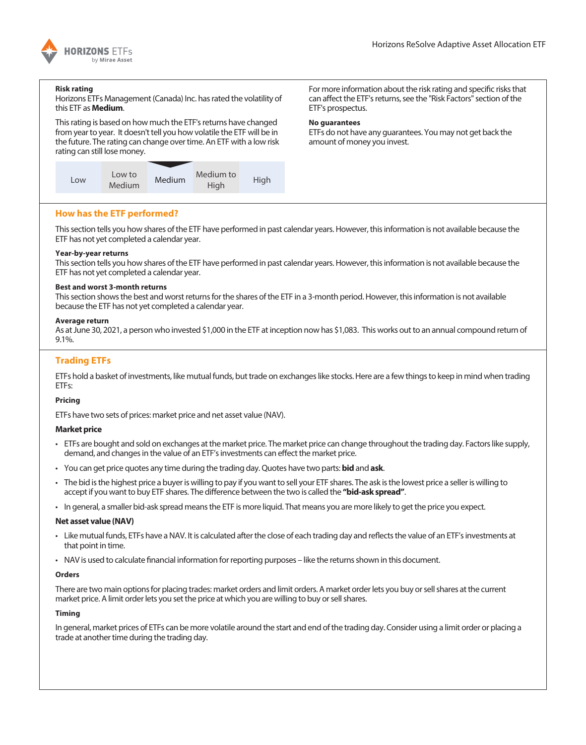

#### **Risk rating**

Horizons ETFs Management (Canada) Inc. has rated the volatility of this ETF as **Medium**.

This rating is based on how much the ETF's returns have changed from year to year. It doesn't tell you how volatile the ETF will be in the future. The rating can change over time. An ETF with a low risk rating can still lose money.



For more information about the risk rating and specific risks that can affect the ETF's returns, see the "Risk Factors" section of the ETF's prospectus.

### **No guarantees**

ETFs do not have any guarantees. You may not get back the amount of money you invest.

## **How has the ETF performed?**

This section tells you how shares of the ETF have performed in past calendar years. However, this information is not available because the ETF has not yet completed a calendar year.

#### **Year-by-year returns**

This section tells you how shares of the ETF have performed in past calendar years. However, this information is not available because the ETF has not yet completed a calendar year.

#### **Best and worst 3-month returns**

This section shows the best and worst returns for the shares of the ETF in a 3-month period. However, this information is not available because the ETF has not yet completed a calendar year.

#### **Average return**

As at June 30, 2021, a person who invested \$1,000 in the ETF at inception now has \$1,083. This works out to an annual compound return of 9.1%.

# **Trading ETFs**

ETFs hold a basket of investments, like mutual funds, but trade on exchanges like stocks. Here are a few things to keep in mind when trading ETFs:

### **Pricing**

ETFs have two sets of prices: market price and net asset value (NAV).

### **Market price**

- ETFs are bought and sold on exchanges at the market price. The market price can change throughout the trading day. Factors like supply, demand, and changes in the value of an ETF's investments can effect the market price.
- You can get price quotes any time during the trading day. Quotes have two parts: **bid** and **ask**.
- The bid is the highest price a buyer is willing to pay if you want to sell your ETF shares. The ask is the lowest price a seller is willing to accept if you want to buy ETF shares. The difference between the two is called the **"bid-ask spread"**.
- In general, a smaller bid-ask spread means the ETF is more liquid. That means you are more likely to get the price you expect.

### **Net asset value (NAV)**

- Like mutual funds, ETFs have a NAV. It is calculated after the close of each trading day and reflects the value of an ETF's investments at that point in time.
- NAV is used to calculate financial information for reporting purposes like the returns shown in this document.

## **Orders**

There are two main options for placing trades: market orders and limit orders. A market order lets you buy or sell shares at the current market price. A limit order lets you set the price at which you are willing to buy or sell shares.

### **Timing**

In general, market prices of ETFs can be more volatile around the start and end of the trading day. Consider using a limit order or placing a trade at another time during the trading day.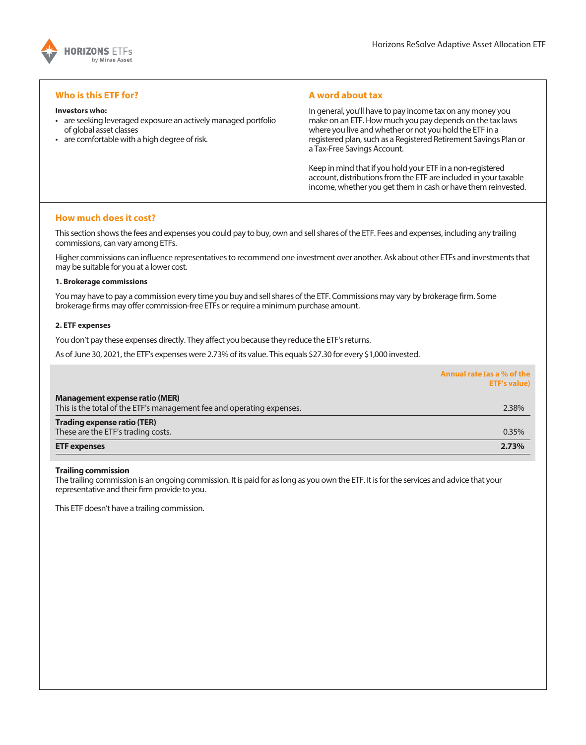

## **Who is this ETF for?**

#### **Investors who:**

- are seeking leveraged exposure an actively managed portfolio of global asset classes
- are comfortable with a high degree of risk.

## **A word about tax**

In general, you'll have to pay income tax on any money you make on an ETF. How much you pay depends on the tax laws where you live and whether or not you hold the ETF in a registered plan, such as a Registered Retirement Savings Plan or a Tax-Free Savings Account.

Keep in mind that if you hold your ETF in a non-registered account, distributions from the ETF are included in your taxable income, whether you get them in cash or have them reinvested.

# **How much does it cost?**

This section shows the fees and expenses you could pay to buy, own and sell shares of the ETF. Fees and expenses, including any trailing commissions, can vary among ETFs.

Higher commissions can influence representatives to recommend one investment over another. Ask about other ETFs and investments that may be suitable for you at a lower cost.

#### **1. Brokerage commissions**

You may have to pay a commission every time you buy and sell shares of the ETF. Commissions may vary by brokerage firm. Some brokerage firms may offer commission-free ETFs or require a minimum purchase amount.

#### **2. ETF expenses**

You don't pay these expenses directly. They affect you because they reduce the ETF's returns.

As of June 30, 2021, the ETF's expenses were 2.73% of its value. This equals \$27.30 for every \$1,000 invested.

|                                                                                                                | Annual rate (as a % of the<br><b>ETF's value)</b> |
|----------------------------------------------------------------------------------------------------------------|---------------------------------------------------|
| <b>Management expense ratio (MER)</b><br>This is the total of the ETF's management fee and operating expenses. | 2.38%                                             |
| <b>Trading expense ratio (TER)</b>                                                                             |                                                   |
| These are the ETF's trading costs.                                                                             | 0.35%                                             |
| <b>ETF</b> expenses                                                                                            | 2.73%                                             |

### **Trailing commission**

The trailing commission is an ongoing commission. It is paid for as long as you own the ETF. It is for the services and advice that your representative and their firm provide to you.

This ETF doesn't have a trailing commission.